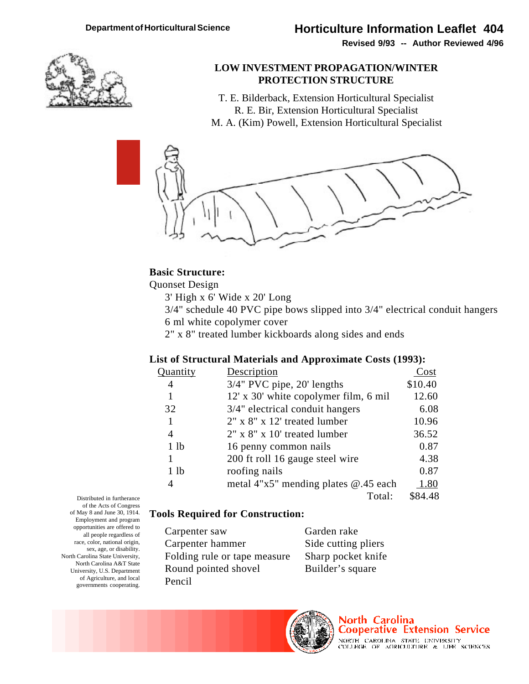**Revised 9/93 -- Author Reviewed 4/96**



### **LOW INVESTMENT PROPAGATION/WINTER PROTECTION STRUCTURE**

T. E. Bilderback, Extension Horticultural Specialist R. E. Bir, Extension Horticultural Specialist M. A. (Kim) Powell, Extension Horticultural Specialist



## **Basic Structure:**

Quonset Design

- 3' High x 6' Wide x 20' Long
- 3/4" schedule 40 PVC pipe bows slipped into 3/4" electrical conduit hangers 6 ml white copolymer cover
- 2" x 8" treated lumber kickboards along sides and ends

## **List of Structural Materials and Approximate Costs (1993):**

| uantity          | Description                              | Cost    |
|------------------|------------------------------------------|---------|
| 4                | 3/4" PVC pipe, 20' lengths               | \$10.40 |
|                  | 12' x 30' white copolymer film, 6 mil    | 12.60   |
| 32               | 3/4" electrical conduit hangers          | 6.08    |
| 1                | $2"$ x $8"$ x $12'$ treated lumber       | 10.96   |
| 4                | $2"$ x $8"$ x 10' treated lumber         | 36.52   |
| 1 <sub>1</sub> b | 16 penny common nails                    | 0.87    |
|                  | 200 ft roll 16 gauge steel wire          | 4.38    |
| 1 <sub>1</sub> b | roofing nails                            | 0.87    |
| 4                | metal $4"x5"$ mending plates $@.45$ each | 1.80    |
|                  | Total:                                   | \$84.48 |

Distributed in furtherance of the Acts of Congress of May 8 and June 30, 1914. Employment and program opportunities are offered to all people regardless of race, color, national origin, sex, age, or disability. North Carolina State University, North Carolina A&T State University, U.S. Department of Agriculture, and local governments cooperating.

## **Tools Required for Construction:**

Carpenter saw Garden rake Carpenter hammer Side cutting pliers Folding rule or tape measure Sharp pocket knife Round pointed shovel Builder's square Pencil



North Carolina **Cooperative Extension Service** NORTH CAROLINA STATE DIVIDESITY COLLEGE OF AGRICULTURE & LIFE SCIENCES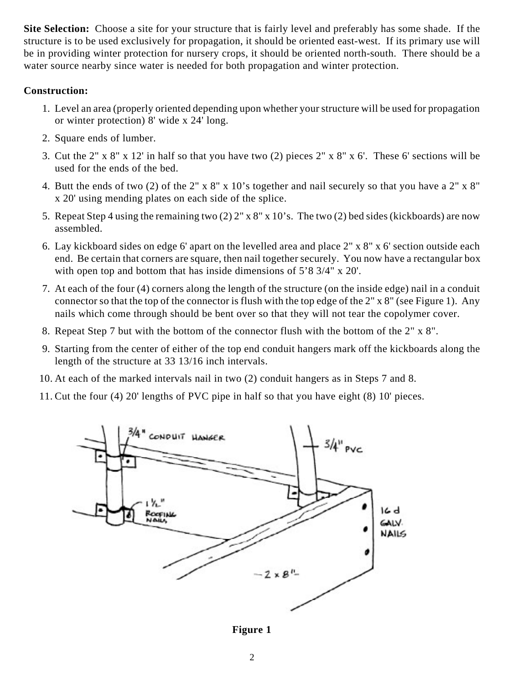**Site Selection:** Choose a site for your structure that is fairly level and preferably has some shade. If the structure is to be used exclusively for propagation, it should be oriented east-west. If its primary use will be in providing winter protection for nursery crops, it should be oriented north-south. There should be a water source nearby since water is needed for both propagation and winter protection.

# **Construction:**

- 1. Level an area (properly oriented depending upon whether your structure will be used for propagation or winter protection) 8' wide x 24' long.
- 2. Square ends of lumber.
- 3. Cut the 2" x 8" x 12' in half so that you have two (2) pieces 2" x 8" x 6'. These 6' sections will be used for the ends of the bed.
- 4. Butt the ends of two (2) of the 2" x 8" x 10's together and nail securely so that you have a 2" x 8" x 20' using mending plates on each side of the splice.
- 5. Repeat Step 4 using the remaining two (2) 2" x 8" x 10's. The two (2) bed sides (kickboards) are now assembled.
- 6. Lay kickboard sides on edge 6' apart on the levelled area and place 2" x 8" x 6' section outside each end. Be certain that corners are square, then nail together securely. You now have a rectangular box with open top and bottom that has inside dimensions of 5'8 3/4" x 20'.
- 7. At each of the four (4) corners along the length of the structure (on the inside edge) nail in a conduit connector so that the top of the connector is flush with the top edge of the 2" x 8" (see Figure 1). Any nails which come through should be bent over so that they will not tear the copolymer cover.
- 8. Repeat Step 7 but with the bottom of the connector flush with the bottom of the 2" x 8".
- 9. Starting from the center of either of the top end conduit hangers mark off the kickboards along the length of the structure at 33 13/16 inch intervals.
- 10. At each of the marked intervals nail in two (2) conduit hangers as in Steps 7 and 8.
- 11. Cut the four (4) 20' lengths of PVC pipe in half so that you have eight (8) 10' pieces.



**Figure 1**